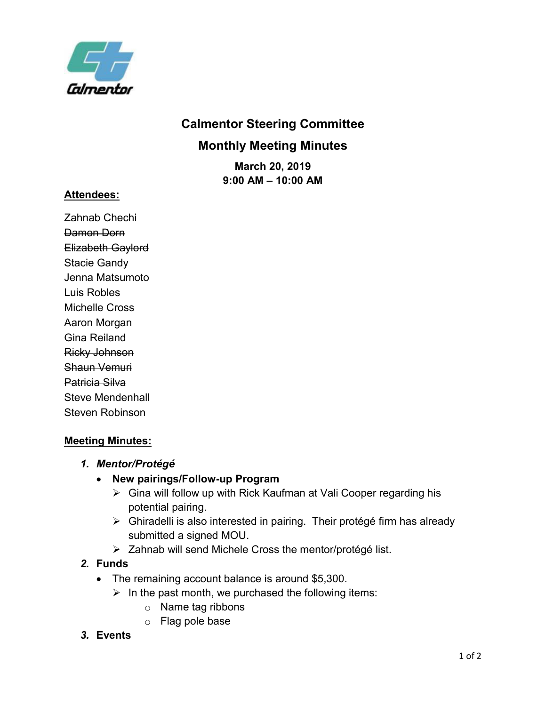

# **Calmentor Steering Committee Monthly Meeting Minutes**

**March 20, 2019 9:00 AM – 10:00 AM**

### **Attendees:**

Zahnab Chechi Damon Dorn Elizabeth Gaylord Stacie Gandy Jenna Matsumoto Luis Robles Michelle Cross Aaron Morgan Gina Reiland Ricky Johnson Shaun Vemuri Patricia Silva Steve Mendenhall Steven Robinson

# **Meeting Minutes:**

### *1. Mentor/Protégé*

- **New pairings/Follow-up Program**
	- ➢ Gina will follow up with Rick Kaufman at Vali Cooper regarding his potential pairing.
	- ➢ Ghiradelli is also interested in pairing. Their protégé firm has already submitted a signed MOU.
	- ➢ Zahnab will send Michele Cross the mentor/protégé list.

### *2.* **Funds**

- The remaining account balance is around \$5,300.
	- $\triangleright$  In the past month, we purchased the following items:
		- o Name tag ribbons
		- o Flag pole base

# *3.* **Events**